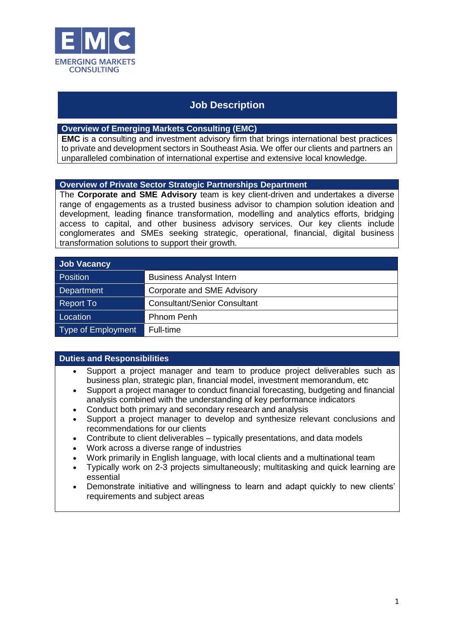

# **Job Description**

## **Overview of Emerging Markets Consulting (EMC)**

**EMC** is a consulting and investment advisory firm that brings international best practices to private and development sectors in Southeast Asia. We offer our clients and partners an unparalleled combination of international expertise and extensive local knowledge.

## **Overview of Private Sector Strategic Partnerships Department**

The **Corporate and SME Advisory** team is key client-driven and undertakes a diverse range of engagements as a trusted business advisor to champion solution ideation and development, leading finance transformation, modelling and analytics efforts, bridging access to capital, and other business advisory services. Our key clients include conglomerates and SMEs seeking strategic, operational, financial, digital business transformation solutions to support their growth.

| <b>Job Vacancy</b>        |                                     |
|---------------------------|-------------------------------------|
| <b>Position</b>           | <b>Business Analyst Intern</b>      |
| Department                | Corporate and SME Advisory          |
| Report To                 | <b>Consultant/Senior Consultant</b> |
| Location                  | Phnom Penh                          |
| <b>Type of Employment</b> | Full-time                           |

## **Duties and Responsibilities**

- Support a project manager and team to produce project deliverables such as business plan, strategic plan, financial model, investment memorandum, etc
- Support a project manager to conduct financial forecasting, budgeting and financial analysis combined with the understanding of key performance indicators
- Conduct both primary and secondary research and analysis
- Support a project manager to develop and synthesize relevant conclusions and recommendations for our clients
- Contribute to client deliverables typically presentations, and data models
- Work across a diverse range of industries
- Work primarily in English language, with local clients and a multinational team
- Typically work on 2-3 projects simultaneously; multitasking and quick learning are essential
- Demonstrate initiative and willingness to learn and adapt quickly to new clients' requirements and subject areas